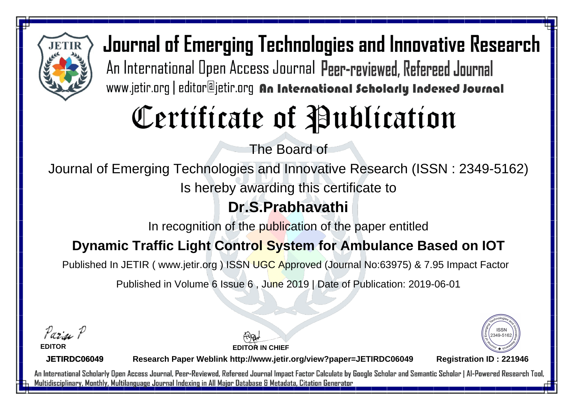

# Certificate of Publication

The Board of

Journal of Emerging Technologies and Innovative Research (ISSN : 2349-5162)

Is hereby awarding this certificate to

### **Dr.S.Prabhavathi**

In recognition of the publication of the paper entitled

#### **Dynamic Traffic Light Control System for Ambulance Based on IOT**

Published In JETIR ( www.jetir.org ) ISSN UGC Approved (Journal No: 63975) & 7.95 Impact Factor

Published in Volume 6 Issue 6 , June 2019 | Date of Publication: 2019-06-01

Parin P

**EDITOR**

**EDITOR IN CHIEF**



**JETIRDC06049**

**Research Paper Weblink http://www.jetir.org/view?paper=JETIRDC06049 Registration ID : 221946**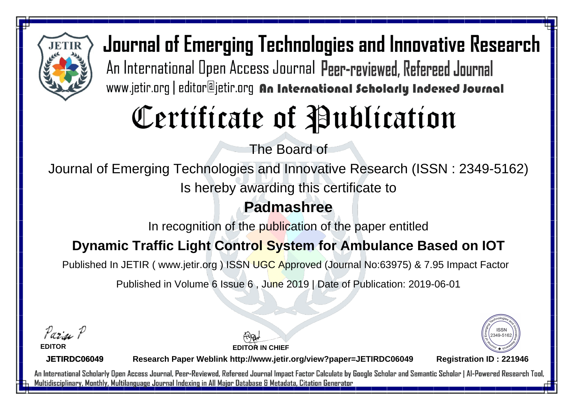

## Certificate of Publication

The Board of

Journal of Emerging Technologies and Innovative Research (ISSN : 2349-5162)

Is hereby awarding this certificate to

### **Padmashree**

In recognition of the publication of the paper entitled

#### **Dynamic Traffic Light Control System for Ambulance Based on IOT**

Published In JETIR ( www.jetir.org ) ISSN UGC Approved (Journal No: 63975) & 7.95 Impact Factor

Published in Volume 6 Issue 6 , June 2019 | Date of Publication: 2019-06-01

Parin P

**EDITOR**

**EDITOR IN CHIEF**



**JETIRDC06049**

**Research Paper Weblink http://www.jetir.org/view?paper=JETIRDC06049 Registration ID : 221946**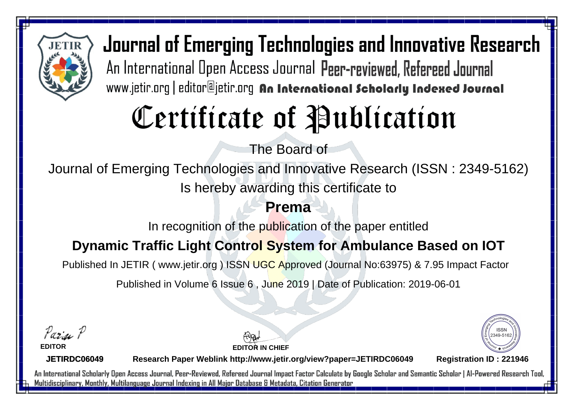

# Certificate of Publication

The Board of

Journal of Emerging Technologies and Innovative Research (ISSN : 2349-5162) Is hereby awarding this certificate to

#### **Prema**

In recognition of the publication of the paper entitled

#### **Dynamic Traffic Light Control System for Ambulance Based on IOT**

Published In JETIR ( www.jetir.org ) ISSN UGC Approved (Journal No: 63975) & 7.95 Impact Factor

Published in Volume 6 Issue 6 , June 2019 | Date of Publication: 2019-06-01

Parin P

**EDITOR**

**EDITOR IN CHIEF**



**JETIRDC06049**

**Research Paper Weblink http://www.jetir.org/view?paper=JETIRDC06049 Registration ID : 221946**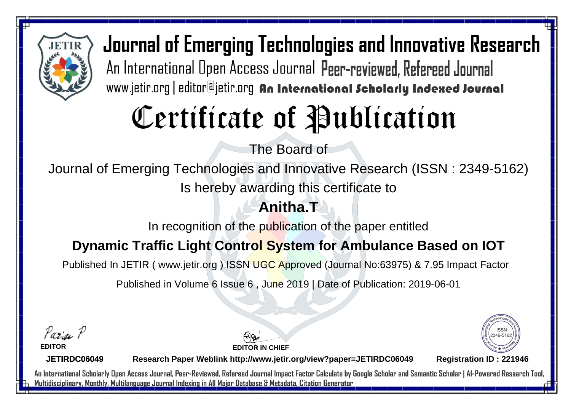

# Certificate of Publication

The Board of

Journal of Emerging Technologies and Innovative Research (ISSN : 2349-5162)

Is hereby awarding this certificate to

### **Anitha.T**

In recognition of the publication of the paper entitled

### **Dynamic Traffic Light Control System for Ambulance Based on IOT**

Published In JETIR ( www.jetir.org ) ISSN UGC Approved (Journal No: 63975) & 7.95 Impact Factor

Published in Volume 6 Issue 6 , June 2019 | Date of Publication: 2019-06-01

Parin P

**EDITOR**

**EDITOR IN CHIEF**



**JETIRDC06049**

**Research Paper Weblink http://www.jetir.org/view?paper=JETIRDC06049 Registration ID : 221946**